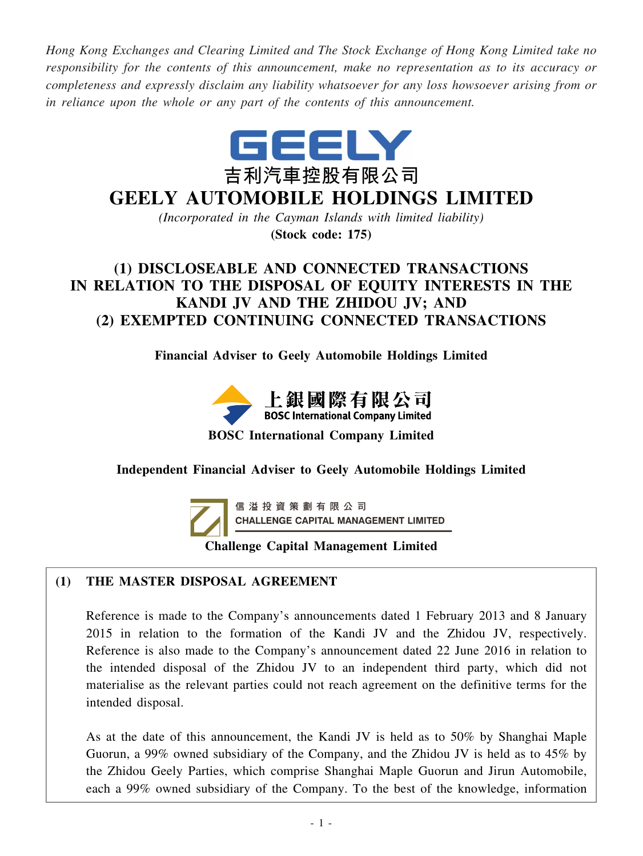*Hong Kong Exchanges and Clearing Limited and The Stock Exchange of Hong Kong Limited take no responsibility for the contents of this announcement, make no representation as to its accuracy or completeness and expressly disclaim any liability whatsoever for any loss howsoever arising from or in reliance upon the whole or any part of the contents of this announcement.*



# **GEELY AUTOMOBILE HOLDINGS LIMITED**

*(Incorporated in the Cayman Islands with limited liability)*

**(Stock code: 175)**

## **(1) DISCLOSEABLE AND CONNECTED TRANSACTIONS IN RELATION TO THE DISPOSAL OF EQUITY INTERESTS IN THE KANDI JV AND THE ZHIDOU JV; AND (2) EXEMPTED CONTINUING CONNECTED TRANSACTIONS**

**Financial Adviser to Geely Automobile Holdings Limited**



**BOSC International Company Limited**

## **Independent Financial Adviser to Geely Automobile Holdings Limited**



信 溢 投 資 策 劃 有 限 公 司 **CHALLENGE CAPITAL MANAGEMENT LIMITED** 

## **Challenge Capital Management Limited**

## **(1) THE MASTER DISPOSAL AGREEMENT**

Reference is made to the Company's announcements dated 1 February 2013 and 8 January 2015 in relation to the formation of the Kandi JV and the Zhidou JV, respectively. Reference is also made to the Company's announcement dated 22 June 2016 in relation to the intended disposal of the Zhidou JV to an independent third party, which did not materialise as the relevant parties could not reach agreement on the definitive terms for the intended disposal.

As at the date of this announcement, the Kandi JV is held as to 50% by Shanghai Maple Guorun, a 99% owned subsidiary of the Company, and the Zhidou JV is held as to 45% by the Zhidou Geely Parties, which comprise Shanghai Maple Guorun and Jirun Automobile, each a 99% owned subsidiary of the Company. To the best of the knowledge, information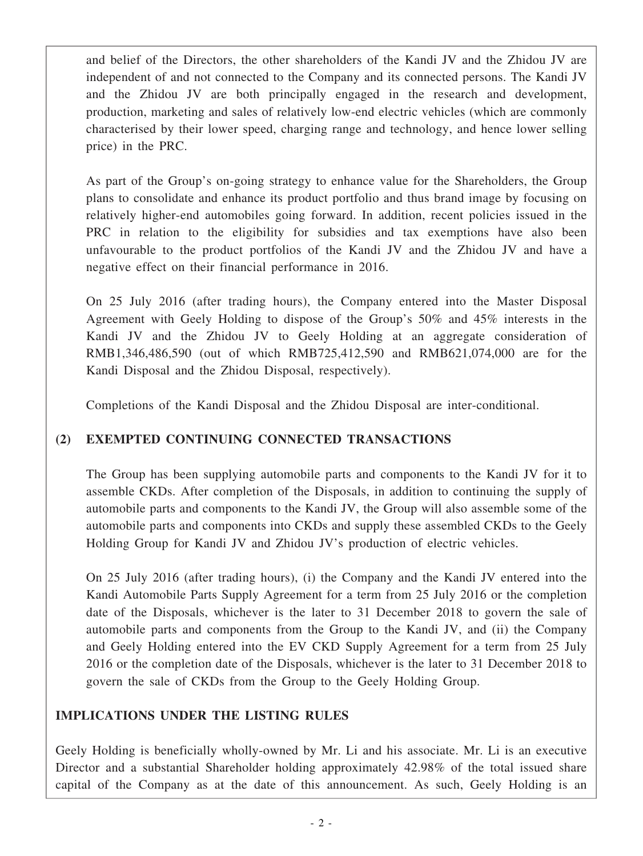and belief of the Directors, the other shareholders of the Kandi JV and the Zhidou JV are independent of and not connected to the Company and its connected persons. The Kandi JV and the Zhidou JV are both principally engaged in the research and development, production, marketing and sales of relatively low-end electric vehicles (which are commonly characterised by their lower speed, charging range and technology, and hence lower selling price) in the PRC.

As part of the Group's on-going strategy to enhance value for the Shareholders, the Group plans to consolidate and enhance its product portfolio and thus brand image by focusing on relatively higher-end automobiles going forward. In addition, recent policies issued in the PRC in relation to the eligibility for subsidies and tax exemptions have also been unfavourable to the product portfolios of the Kandi JV and the Zhidou JV and have a negative effect on their financial performance in 2016.

On 25 July 2016 (after trading hours), the Company entered into the Master Disposal Agreement with Geely Holding to dispose of the Group's 50% and 45% interests in the Kandi JV and the Zhidou JV to Geely Holding at an aggregate consideration of RMB1,346,486,590 (out of which RMB725,412,590 and RMB621,074,000 are for the Kandi Disposal and the Zhidou Disposal, respectively).

Completions of the Kandi Disposal and the Zhidou Disposal are inter-conditional.

## **(2) EXEMPTED CONTINUING CONNECTED TRANSACTIONS**

The Group has been supplying automobile parts and components to the Kandi JV for it to assemble CKDs. After completion of the Disposals, in addition to continuing the supply of automobile parts and components to the Kandi JV, the Group will also assemble some of the automobile parts and components into CKDs and supply these assembled CKDs to the Geely Holding Group for Kandi JV and Zhidou JV's production of electric vehicles.

On 25 July 2016 (after trading hours), (i) the Company and the Kandi JV entered into the Kandi Automobile Parts Supply Agreement for a term from 25 July 2016 or the completion date of the Disposals, whichever is the later to 31 December 2018 to govern the sale of automobile parts and components from the Group to the Kandi JV, and (ii) the Company and Geely Holding entered into the EV CKD Supply Agreement for a term from 25 July 2016 or the completion date of the Disposals, whichever is the later to 31 December 2018 to govern the sale of CKDs from the Group to the Geely Holding Group.

## **IMPLICATIONS UNDER THE LISTING RULES**

Geely Holding is beneficially wholly-owned by Mr. Li and his associate. Mr. Li is an executive Director and a substantial Shareholder holding approximately 42.98% of the total issued share capital of the Company as at the date of this announcement. As such, Geely Holding is an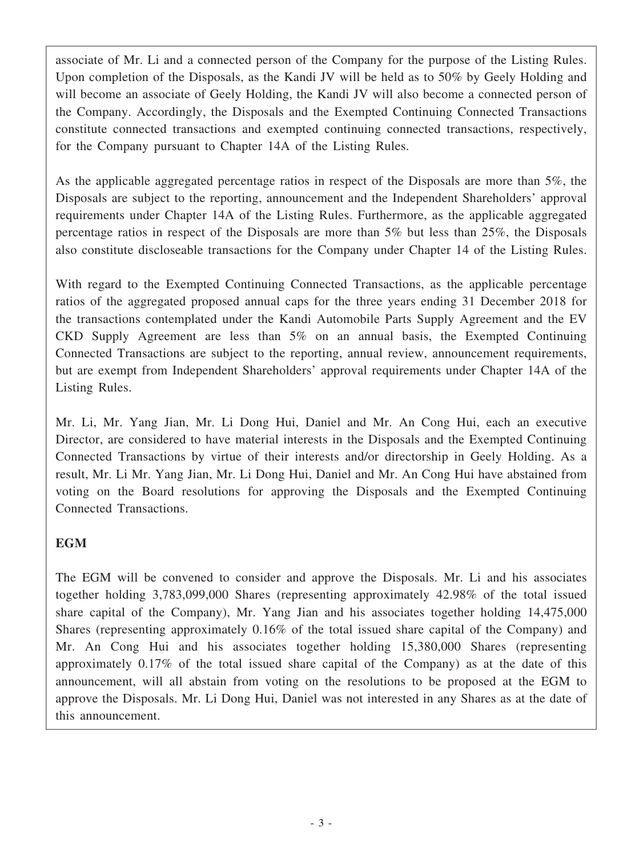associate of Mr. Li and a connected person of the Company for the purpose of the Listing Rules. Upon completion of the Disposals, as the Kandi JV will be held as to 50% by Geely Holding and will become an associate of Geely Holding, the Kandi JV will also become a connected person of the Company. Accordingly, the Disposals and the Exempted Continuing Connected Transactions constitute connected transactions and exempted continuing connected transactions, respectively, for the Company pursuant to Chapter 14A of the Listing Rules.

As the applicable aggregated percentage ratios in respect of the Disposals are more than 5%, the Disposals are subject to the reporting, announcement and the Independent Shareholders' approval requirements under Chapter 14A of the Listing Rules. Furthermore, as the applicable aggregated percentage ratios in respect of the Disposals are more than 5% but less than 25%, the Disposals also constitute discloseable transactions for the Company under Chapter 14 of the Listing Rules.

With regard to the Exempted Continuing Connected Transactions, as the applicable percentage ratios of the aggregated proposed annual caps for the three years ending 31 December 2018 for the transactions contemplated under the Kandi Automobile Parts Supply Agreement and the EV CKD Supply Agreement are less than 5% on an annual basis, the Exempted Continuing Connected Transactions are subject to the reporting, annual review, announcement requirements, but are exempt from Independent Shareholders' approval requirements under Chapter 14A of the Listing Rules.

Mr. Li, Mr. Yang Jian, Mr. Li Dong Hui, Daniel and Mr. An Cong Hui, each an executive Director, are considered to have material interests in the Disposals and the Exempted Continuing Connected Transactions by virtue of their interests and/or directorship in Geely Holding. As a result, Mr. Li Mr. Yang Jian, Mr. Li Dong Hui, Daniel and Mr. An Cong Hui have abstained from voting on the Board resolutions for approving the Disposals and the Exempted Continuing Connected Transactions.

## **EGM**

The EGM will be convened to consider and approve the Disposals. Mr. Li and his associates together holding 3,783,099,000 Shares (representing approximately 42.98% of the total issued share capital of the Company), Mr. Yang Jian and his associates together holding 14,475,000 Shares (representing approximately 0.16% of the total issued share capital of the Company) and Mr. An Cong Hui and his associates together holding 15,380,000 Shares (representing approximately 0.17% of the total issued share capital of the Company) as at the date of this announcement, will all abstain from voting on the resolutions to be proposed at the EGM to approve the Disposals. Mr. Li Dong Hui, Daniel was not interested in any Shares as at the date of this announcement.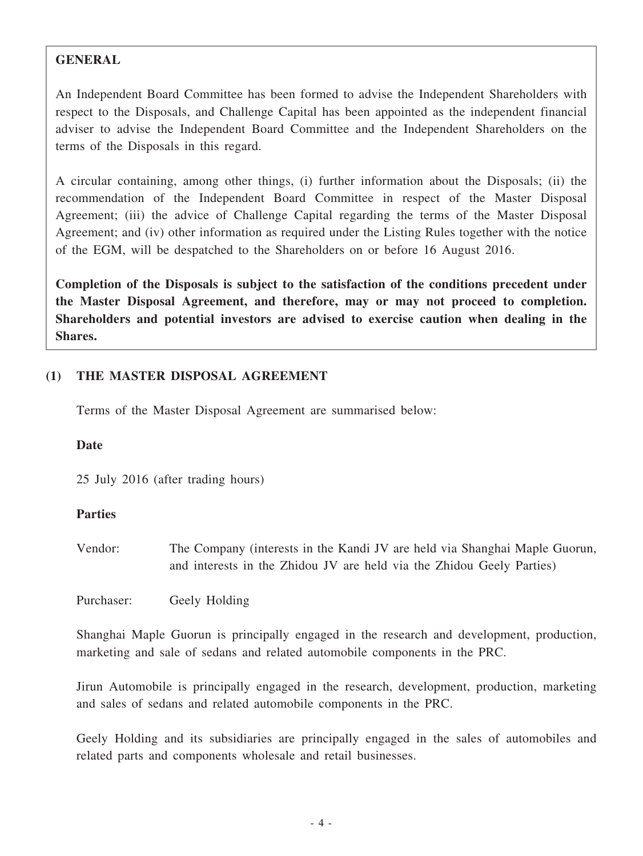#### **GENERAL**

An Independent Board Committee has been formed to advise the Independent Shareholders with respect to the Disposals, and Challenge Capital has been appointed as the independent financial adviser to advise the Independent Board Committee and the Independent Shareholders on the terms of the Disposals in this regard.

A circular containing, among other things, (i) further information about the Disposals; (ii) the recommendation of the Independent Board Committee in respect of the Master Disposal Agreement; (iii) the advice of Challenge Capital regarding the terms of the Master Disposal Agreement; and (iv) other information as required under the Listing Rules together with the notice of the EGM, will be despatched to the Shareholders on or before 16 August 2016.

**Completion of the Disposals is subject to the satisfaction of the conditions precedent under the Master Disposal Agreement, and therefore, may or may not proceed to completion. Shareholders and potential investors are advised to exercise caution when dealing in the Shares.**

#### **(1) THE MASTER DISPOSAL AGREEMENT**

Terms of the Master Disposal Agreement are summarised below:

#### **Date**

25 July 2016 (after trading hours)

#### **Parties**

Vendor: The Company (interests in the Kandi JV are held via Shanghai Maple Guorun, and interests in the Zhidou JV are held via the Zhidou Geely Parties)

Purchaser: Geely Holding

Shanghai Maple Guorun is principally engaged in the research and development, production, marketing and sale of sedans and related automobile components in the PRC.

Jirun Automobile is principally engaged in the research, development, production, marketing and sales of sedans and related automobile components in the PRC.

Geely Holding and its subsidiaries are principally engaged in the sales of automobiles and related parts and components wholesale and retail businesses.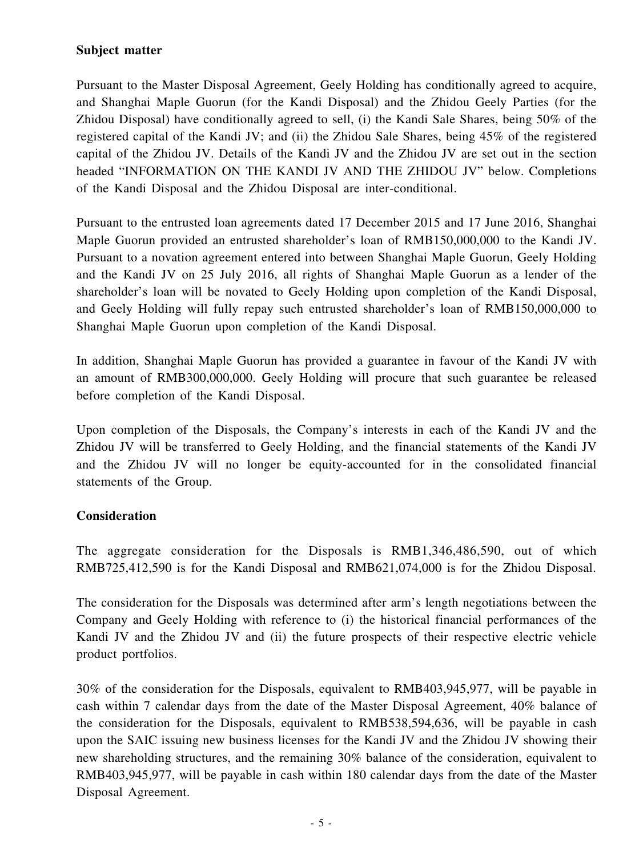#### **Subject matter**

Pursuant to the Master Disposal Agreement, Geely Holding has conditionally agreed to acquire, and Shanghai Maple Guorun (for the Kandi Disposal) and the Zhidou Geely Parties (for the Zhidou Disposal) have conditionally agreed to sell, (i) the Kandi Sale Shares, being 50% of the registered capital of the Kandi JV; and (ii) the Zhidou Sale Shares, being 45% of the registered capital of the Zhidou JV. Details of the Kandi JV and the Zhidou JV are set out in the section headed "INFORMATION ON THE KANDI JV AND THE ZHIDOU JV" below. Completions of the Kandi Disposal and the Zhidou Disposal are inter-conditional.

Pursuant to the entrusted loan agreements dated 17 December 2015 and 17 June 2016, Shanghai Maple Guorun provided an entrusted shareholder's loan of RMB150,000,000 to the Kandi JV. Pursuant to a novation agreement entered into between Shanghai Maple Guorun, Geely Holding and the Kandi JV on 25 July 2016, all rights of Shanghai Maple Guorun as a lender of the shareholder's loan will be novated to Geely Holding upon completion of the Kandi Disposal, and Geely Holding will fully repay such entrusted shareholder's loan of RMB150,000,000 to Shanghai Maple Guorun upon completion of the Kandi Disposal.

In addition, Shanghai Maple Guorun has provided a guarantee in favour of the Kandi JV with an amount of RMB300,000,000. Geely Holding will procure that such guarantee be released before completion of the Kandi Disposal.

Upon completion of the Disposals, the Company's interests in each of the Kandi JV and the Zhidou JV will be transferred to Geely Holding, and the financial statements of the Kandi JV and the Zhidou JV will no longer be equity-accounted for in the consolidated financial statements of the Group.

#### **Consideration**

The aggregate consideration for the Disposals is RMB1,346,486,590, out of which RMB725,412,590 is for the Kandi Disposal and RMB621,074,000 is for the Zhidou Disposal.

The consideration for the Disposals was determined after arm's length negotiations between the Company and Geely Holding with reference to (i) the historical financial performances of the Kandi JV and the Zhidou JV and (ii) the future prospects of their respective electric vehicle product portfolios.

30% of the consideration for the Disposals, equivalent to RMB403,945,977, will be payable in cash within 7 calendar days from the date of the Master Disposal Agreement, 40% balance of the consideration for the Disposals, equivalent to RMB538,594,636, will be payable in cash upon the SAIC issuing new business licenses for the Kandi JV and the Zhidou JV showing their new shareholding structures, and the remaining 30% balance of the consideration, equivalent to RMB403,945,977, will be payable in cash within 180 calendar days from the date of the Master Disposal Agreement.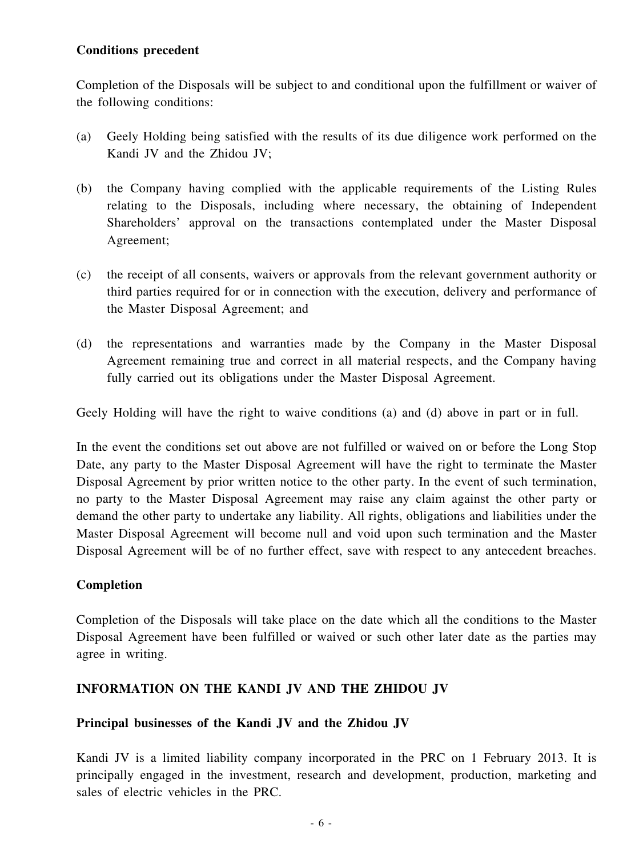#### **Conditions precedent**

Completion of the Disposals will be subject to and conditional upon the fulfillment or waiver of the following conditions:

- (a) Geely Holding being satisfied with the results of its due diligence work performed on the Kandi JV and the Zhidou JV;
- (b) the Company having complied with the applicable requirements of the Listing Rules relating to the Disposals, including where necessary, the obtaining of Independent Shareholders' approval on the transactions contemplated under the Master Disposal Agreement;
- (c) the receipt of all consents, waivers or approvals from the relevant government authority or third parties required for or in connection with the execution, delivery and performance of the Master Disposal Agreement; and
- (d) the representations and warranties made by the Company in the Master Disposal Agreement remaining true and correct in all material respects, and the Company having fully carried out its obligations under the Master Disposal Agreement.

Geely Holding will have the right to waive conditions (a) and (d) above in part or in full.

In the event the conditions set out above are not fulfilled or waived on or before the Long Stop Date, any party to the Master Disposal Agreement will have the right to terminate the Master Disposal Agreement by prior written notice to the other party. In the event of such termination, no party to the Master Disposal Agreement may raise any claim against the other party or demand the other party to undertake any liability. All rights, obligations and liabilities under the Master Disposal Agreement will become null and void upon such termination and the Master Disposal Agreement will be of no further effect, save with respect to any antecedent breaches.

#### **Completion**

Completion of the Disposals will take place on the date which all the conditions to the Master Disposal Agreement have been fulfilled or waived or such other later date as the parties may agree in writing.

#### **INFORMATION ON THE KANDI JV AND THE ZHIDOU JV**

#### **Principal businesses of the Kandi JV and the Zhidou JV**

Kandi JV is a limited liability company incorporated in the PRC on 1 February 2013. It is principally engaged in the investment, research and development, production, marketing and sales of electric vehicles in the PRC.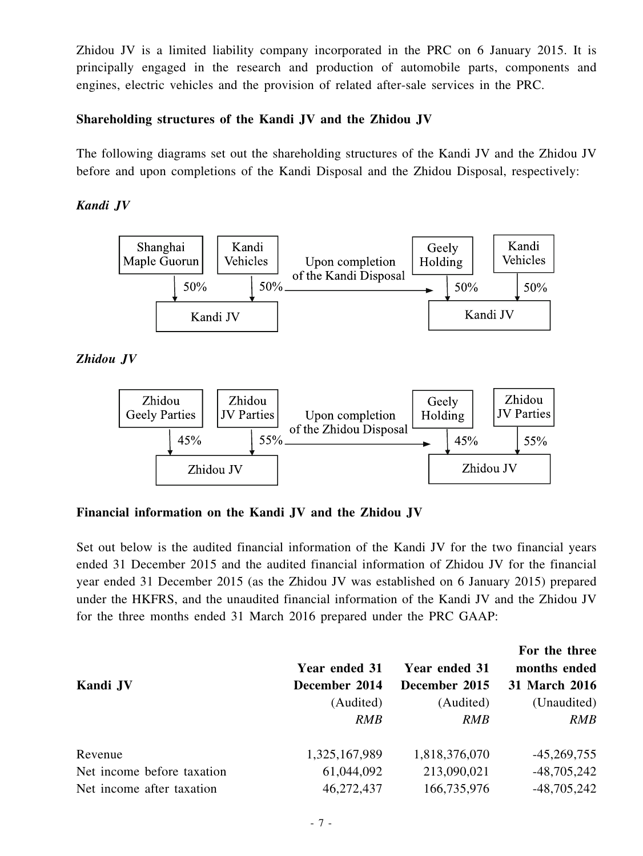Zhidou JV is a limited liability company incorporated in the PRC on 6 January 2015. It is principally engaged in the research and production of automobile parts, components and engines, electric vehicles and the provision of related after-sale services in the PRC.

#### **Shareholding structures of the Kandi JV and the Zhidou JV**

The following diagrams set out the shareholding structures of the Kandi JV and the Zhidou JV before and upon completions of the Kandi Disposal and the Zhidou Disposal, respectively:

#### *Kandi JV*



#### *Zhidou JV*



**Financial information on the Kandi JV and the Zhidou JV**

Set out below is the audited financial information of the Kandi JV for the two financial years ended 31 December 2015 and the audited financial information of Zhidou JV for the financial year ended 31 December 2015 (as the Zhidou JV was established on 6 January 2015) prepared under the HKFRS, and the unaudited financial information of the Kandi JV and the Zhidou JV for the three months ended 31 March 2016 prepared under the PRC GAAP:

| Kandi JV                   | <b>Year ended 31</b><br>December 2014 | Year ended 31<br>December 2015 | For the three<br>months ended<br>31 March 2016 |
|----------------------------|---------------------------------------|--------------------------------|------------------------------------------------|
|                            | (Audited)<br><b>RMB</b>               | (Audited)<br><b>RMB</b>        | (Unaudited)<br>RMB                             |
| Revenue                    | 1,325,167,989                         | 1,818,376,070                  | $-45,269,755$                                  |
| Net income before taxation | 61,044,092                            | 213,090,021                    | $-48,705,242$                                  |
| Net income after taxation  | 46,272,437                            | 166,735,976                    | $-48,705,242$                                  |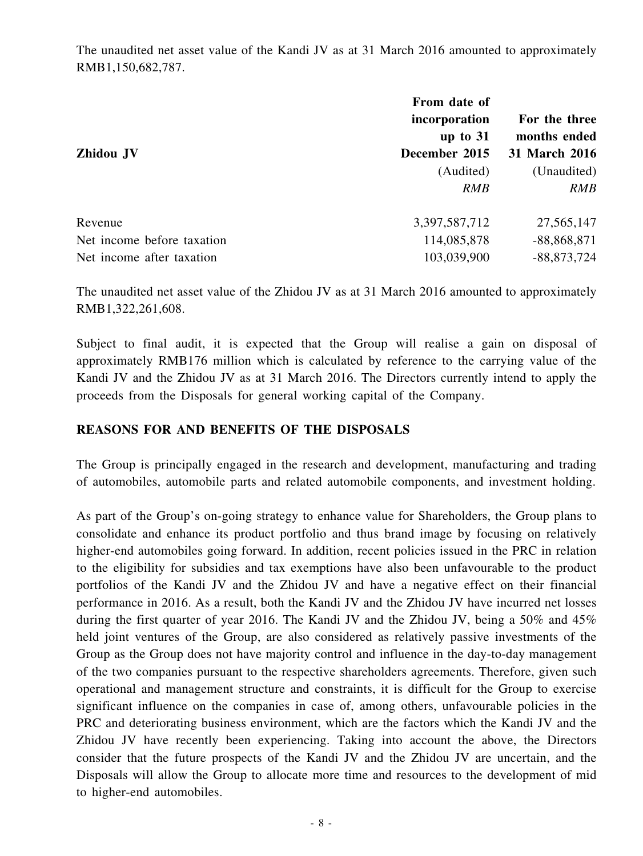The unaudited net asset value of the Kandi JV as at 31 March 2016 amounted to approximately RMB1,150,682,787.

| From date of  |               |
|---------------|---------------|
| incorporation | For the three |
| up to $31$    | months ended  |
| December 2015 | 31 March 2016 |
| (Audited)     | (Unaudited)   |
| <b>RMB</b>    | RMB           |
| 3,397,587,712 | 27,565,147    |
| 114,085,878   | $-88,868,871$ |
| 103,039,900   | $-88,873,724$ |
|               |               |

The unaudited net asset value of the Zhidou JV as at 31 March 2016 amounted to approximately RMB1,322,261,608.

Subject to final audit, it is expected that the Group will realise a gain on disposal of approximately RMB176 million which is calculated by reference to the carrying value of the Kandi JV and the Zhidou JV as at 31 March 2016. The Directors currently intend to apply the proceeds from the Disposals for general working capital of the Company.

#### **REASONS FOR AND BENEFITS OF THE DISPOSALS**

The Group is principally engaged in the research and development, manufacturing and trading of automobiles, automobile parts and related automobile components, and investment holding.

As part of the Group's on-going strategy to enhance value for Shareholders, the Group plans to consolidate and enhance its product portfolio and thus brand image by focusing on relatively higher-end automobiles going forward. In addition, recent policies issued in the PRC in relation to the eligibility for subsidies and tax exemptions have also been unfavourable to the product portfolios of the Kandi JV and the Zhidou JV and have a negative effect on their financial performance in 2016. As a result, both the Kandi JV and the Zhidou JV have incurred net losses during the first quarter of year 2016. The Kandi JV and the Zhidou JV, being a 50% and 45% held joint ventures of the Group, are also considered as relatively passive investments of the Group as the Group does not have majority control and influence in the day-to-day management of the two companies pursuant to the respective shareholders agreements. Therefore, given such operational and management structure and constraints, it is difficult for the Group to exercise significant influence on the companies in case of, among others, unfavourable policies in the PRC and deteriorating business environment, which are the factors which the Kandi JV and the Zhidou JV have recently been experiencing. Taking into account the above, the Directors consider that the future prospects of the Kandi JV and the Zhidou JV are uncertain, and the Disposals will allow the Group to allocate more time and resources to the development of mid to higher-end automobiles.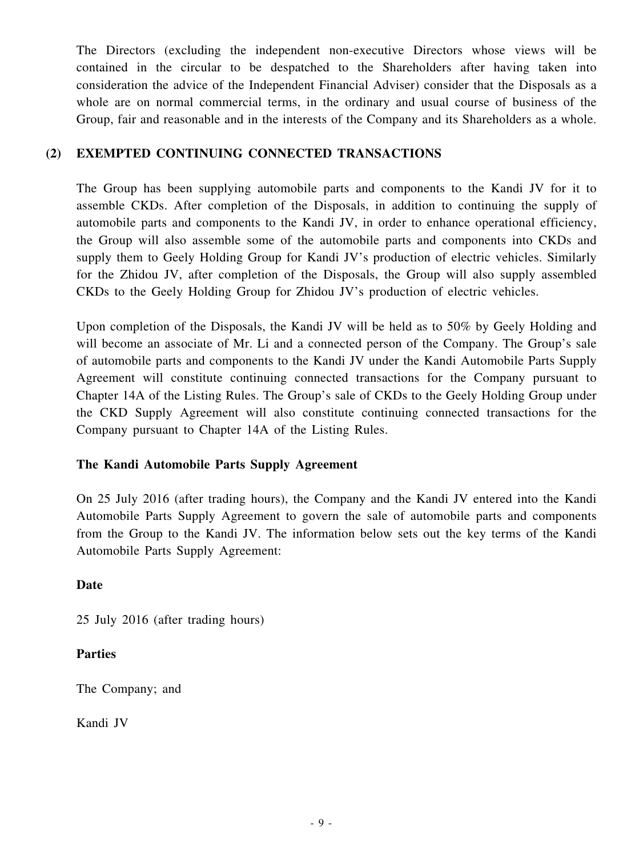The Directors (excluding the independent non-executive Directors whose views will be contained in the circular to be despatched to the Shareholders after having taken into consideration the advice of the Independent Financial Adviser) consider that the Disposals as a whole are on normal commercial terms, in the ordinary and usual course of business of the Group, fair and reasonable and in the interests of the Company and its Shareholders as a whole.

#### **(2) EXEMPTED CONTINUING CONNECTED TRANSACTIONS**

The Group has been supplying automobile parts and components to the Kandi JV for it to assemble CKDs. After completion of the Disposals, in addition to continuing the supply of automobile parts and components to the Kandi JV, in order to enhance operational efficiency, the Group will also assemble some of the automobile parts and components into CKDs and supply them to Geely Holding Group for Kandi JV's production of electric vehicles. Similarly for the Zhidou JV, after completion of the Disposals, the Group will also supply assembled CKDs to the Geely Holding Group for Zhidou JV's production of electric vehicles.

Upon completion of the Disposals, the Kandi JV will be held as to 50% by Geely Holding and will become an associate of Mr. Li and a connected person of the Company. The Group's sale of automobile parts and components to the Kandi JV under the Kandi Automobile Parts Supply Agreement will constitute continuing connected transactions for the Company pursuant to Chapter 14A of the Listing Rules. The Group's sale of CKDs to the Geely Holding Group under the CKD Supply Agreement will also constitute continuing connected transactions for the Company pursuant to Chapter 14A of the Listing Rules.

#### **The Kandi Automobile Parts Supply Agreement**

On 25 July 2016 (after trading hours), the Company and the Kandi JV entered into the Kandi Automobile Parts Supply Agreement to govern the sale of automobile parts and components from the Group to the Kandi JV. The information below sets out the key terms of the Kandi Automobile Parts Supply Agreement:

#### **Date**

25 July 2016 (after trading hours)

#### **Parties**

The Company; and

Kandi JV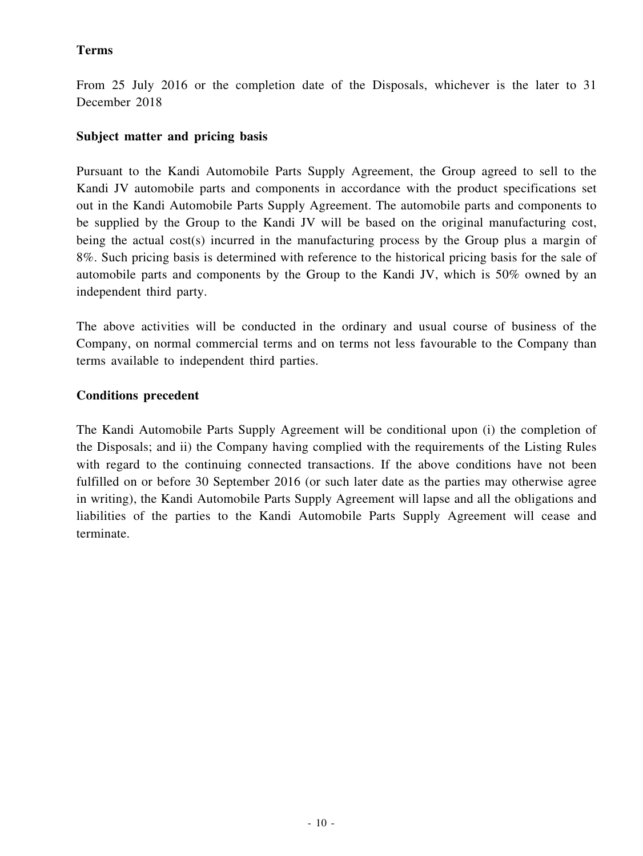#### **Terms**

From 25 July 2016 or the completion date of the Disposals, whichever is the later to 31 December 2018

#### **Subject matter and pricing basis**

Pursuant to the Kandi Automobile Parts Supply Agreement, the Group agreed to sell to the Kandi JV automobile parts and components in accordance with the product specifications set out in the Kandi Automobile Parts Supply Agreement. The automobile parts and components to be supplied by the Group to the Kandi JV will be based on the original manufacturing cost, being the actual cost(s) incurred in the manufacturing process by the Group plus a margin of 8%. Such pricing basis is determined with reference to the historical pricing basis for the sale of automobile parts and components by the Group to the Kandi JV, which is 50% owned by an independent third party.

The above activities will be conducted in the ordinary and usual course of business of the Company, on normal commercial terms and on terms not less favourable to the Company than terms available to independent third parties.

### **Conditions precedent**

The Kandi Automobile Parts Supply Agreement will be conditional upon (i) the completion of the Disposals; and ii) the Company having complied with the requirements of the Listing Rules with regard to the continuing connected transactions. If the above conditions have not been fulfilled on or before 30 September 2016 (or such later date as the parties may otherwise agree in writing), the Kandi Automobile Parts Supply Agreement will lapse and all the obligations and liabilities of the parties to the Kandi Automobile Parts Supply Agreement will cease and terminate.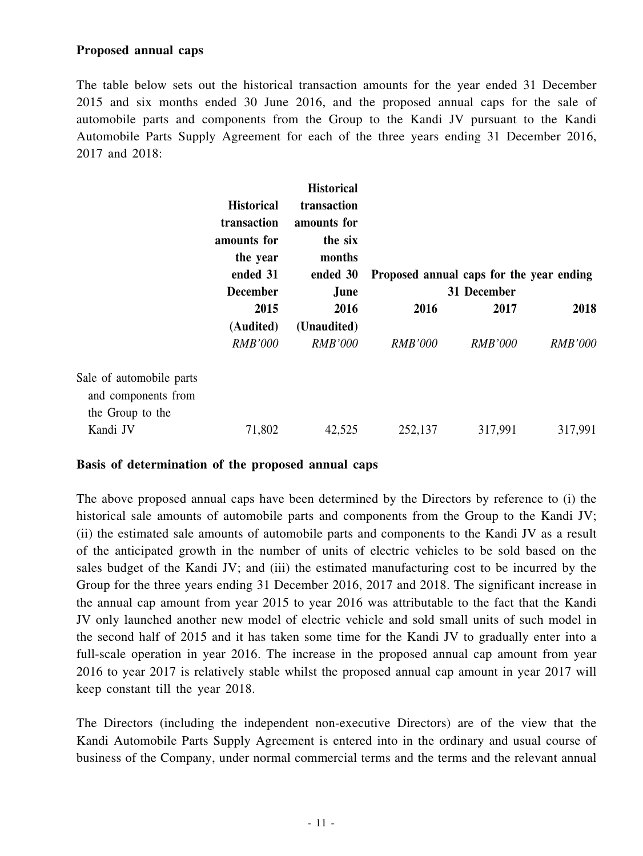#### **Proposed annual caps**

The table below sets out the historical transaction amounts for the year ended 31 December 2015 and six months ended 30 June 2016, and the proposed annual caps for the sale of automobile parts and components from the Group to the Kandi JV pursuant to the Kandi Automobile Parts Supply Agreement for each of the three years ending 31 December 2016, 2017 and 2018:

|                                                                     | <b>Historical</b><br>transaction<br>amounts for<br>the year | <b>Historical</b><br>transaction<br>amounts for<br>the six<br>months |                                          |                |                |
|---------------------------------------------------------------------|-------------------------------------------------------------|----------------------------------------------------------------------|------------------------------------------|----------------|----------------|
|                                                                     | ended 31                                                    | ended 30                                                             | Proposed annual caps for the year ending |                |                |
|                                                                     | <b>December</b>                                             | June                                                                 |                                          | 31 December    |                |
|                                                                     | 2015                                                        | 2016                                                                 | 2016                                     | 2017           | 2018           |
|                                                                     | (Audited)                                                   | (Unaudited)                                                          |                                          |                |                |
|                                                                     | <b>RMB'000</b>                                              | <b>RMB'000</b>                                                       | <b>RMB'000</b>                           | <b>RMB'000</b> | <b>RMB'000</b> |
| Sale of automobile parts<br>and components from<br>the Group to the |                                                             |                                                                      |                                          |                |                |
| Kandi JV                                                            | 71,802                                                      | 42,525                                                               | 252,137                                  | 317,991        | 317,991        |

#### **Basis of determination of the proposed annual caps**

The above proposed annual caps have been determined by the Directors by reference to (i) the historical sale amounts of automobile parts and components from the Group to the Kandi JV; (ii) the estimated sale amounts of automobile parts and components to the Kandi JV as a result of the anticipated growth in the number of units of electric vehicles to be sold based on the sales budget of the Kandi JV; and (iii) the estimated manufacturing cost to be incurred by the Group for the three years ending 31 December 2016, 2017 and 2018. The significant increase in the annual cap amount from year 2015 to year 2016 was attributable to the fact that the Kandi JV only launched another new model of electric vehicle and sold small units of such model in the second half of 2015 and it has taken some time for the Kandi JV to gradually enter into a full-scale operation in year 2016. The increase in the proposed annual cap amount from year 2016 to year 2017 is relatively stable whilst the proposed annual cap amount in year 2017 will keep constant till the year 2018.

The Directors (including the independent non-executive Directors) are of the view that the Kandi Automobile Parts Supply Agreement is entered into in the ordinary and usual course of business of the Company, under normal commercial terms and the terms and the relevant annual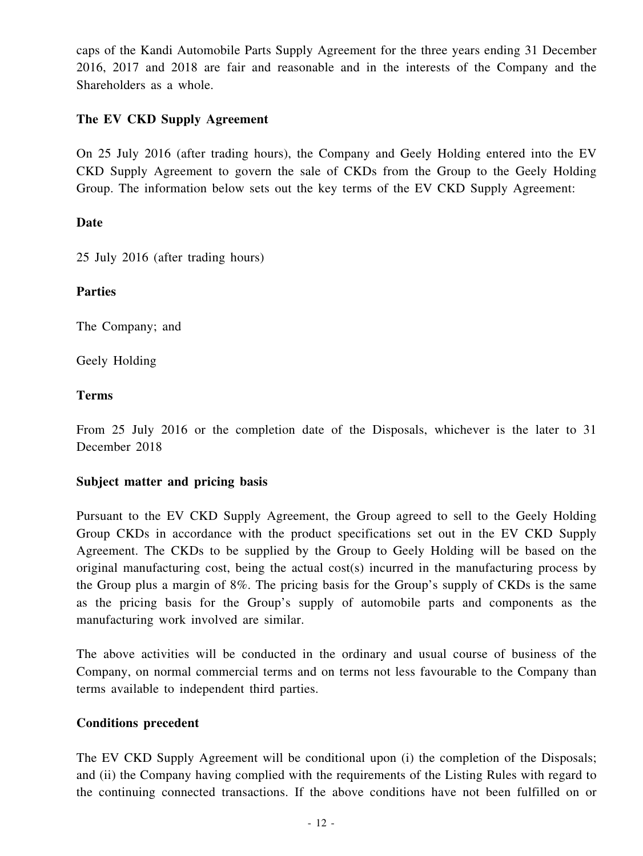caps of the Kandi Automobile Parts Supply Agreement for the three years ending 31 December 2016, 2017 and 2018 are fair and reasonable and in the interests of the Company and the Shareholders as a whole.

#### **The EV CKD Supply Agreement**

On 25 July 2016 (after trading hours), the Company and Geely Holding entered into the EV CKD Supply Agreement to govern the sale of CKDs from the Group to the Geely Holding Group. The information below sets out the key terms of the EV CKD Supply Agreement:

#### **Date**

25 July 2016 (after trading hours)

#### **Parties**

The Company; and

Geely Holding

#### **Terms**

From 25 July 2016 or the completion date of the Disposals, whichever is the later to 31 December 2018

#### **Subject matter and pricing basis**

Pursuant to the EV CKD Supply Agreement, the Group agreed to sell to the Geely Holding Group CKDs in accordance with the product specifications set out in the EV CKD Supply Agreement. The CKDs to be supplied by the Group to Geely Holding will be based on the original manufacturing cost, being the actual cost(s) incurred in the manufacturing process by the Group plus a margin of 8%. The pricing basis for the Group's supply of CKDs is the same as the pricing basis for the Group's supply of automobile parts and components as the manufacturing work involved are similar.

The above activities will be conducted in the ordinary and usual course of business of the Company, on normal commercial terms and on terms not less favourable to the Company than terms available to independent third parties.

#### **Conditions precedent**

The EV CKD Supply Agreement will be conditional upon (i) the completion of the Disposals; and (ii) the Company having complied with the requirements of the Listing Rules with regard to the continuing connected transactions. If the above conditions have not been fulfilled on or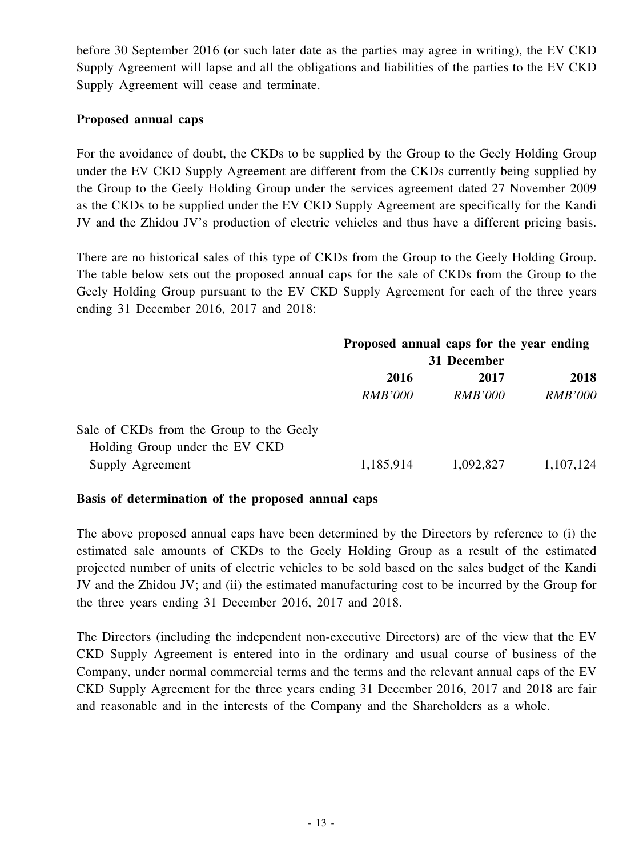before 30 September 2016 (or such later date as the parties may agree in writing), the EV CKD Supply Agreement will lapse and all the obligations and liabilities of the parties to the EV CKD Supply Agreement will cease and terminate.

#### **Proposed annual caps**

For the avoidance of doubt, the CKDs to be supplied by the Group to the Geely Holding Group under the EV CKD Supply Agreement are different from the CKDs currently being supplied by the Group to the Geely Holding Group under the services agreement dated 27 November 2009 as the CKDs to be supplied under the EV CKD Supply Agreement are specifically for the Kandi JV and the Zhidou JV's production of electric vehicles and thus have a different pricing basis.

There are no historical sales of this type of CKDs from the Group to the Geely Holding Group. The table below sets out the proposed annual caps for the sale of CKDs from the Group to the Geely Holding Group pursuant to the EV CKD Supply Agreement for each of the three years ending 31 December 2016, 2017 and 2018:

|                                          | Proposed annual caps for the year ending |                |                |
|------------------------------------------|------------------------------------------|----------------|----------------|
|                                          | 31 December                              |                |                |
|                                          | 2016                                     | 2017           | 2018           |
|                                          | <i>RMB'000</i>                           | <i>RMB'000</i> | <b>RMB'000</b> |
| Sale of CKDs from the Group to the Geely |                                          |                |                |
| Holding Group under the EV CKD           |                                          |                |                |
| Supply Agreement                         | 1,185,914                                | 1,092,827      | 1,107,124      |

#### **Basis of determination of the proposed annual caps**

The above proposed annual caps have been determined by the Directors by reference to (i) the estimated sale amounts of CKDs to the Geely Holding Group as a result of the estimated projected number of units of electric vehicles to be sold based on the sales budget of the Kandi JV and the Zhidou JV; and (ii) the estimated manufacturing cost to be incurred by the Group for the three years ending 31 December 2016, 2017 and 2018.

The Directors (including the independent non-executive Directors) are of the view that the EV CKD Supply Agreement is entered into in the ordinary and usual course of business of the Company, under normal commercial terms and the terms and the relevant annual caps of the EV CKD Supply Agreement for the three years ending 31 December 2016, 2017 and 2018 are fair and reasonable and in the interests of the Company and the Shareholders as a whole.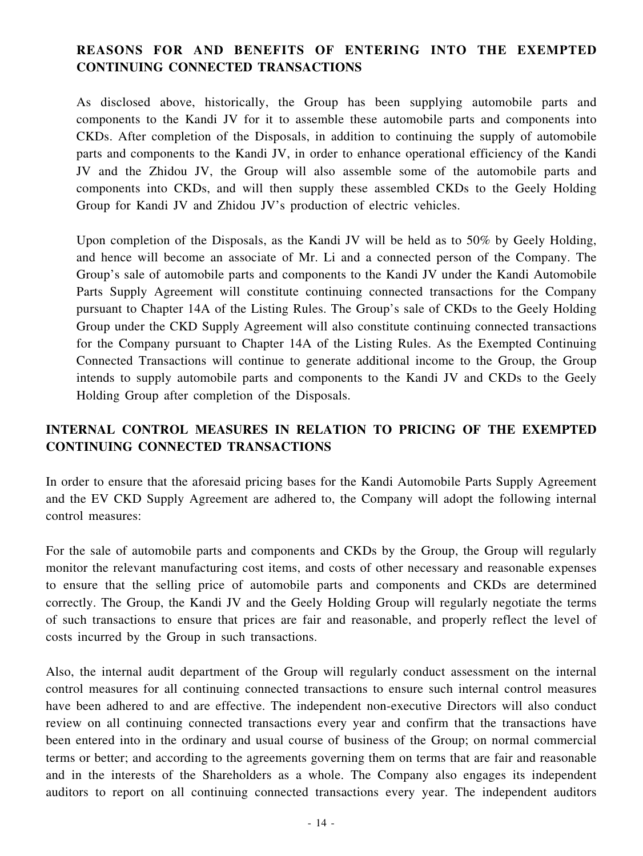## **REASONS FOR AND BENEFITS OF ENTERING INTO THE EXEMPTED CONTINUING CONNECTED TRANSACTIONS**

As disclosed above, historically, the Group has been supplying automobile parts and components to the Kandi JV for it to assemble these automobile parts and components into CKDs. After completion of the Disposals, in addition to continuing the supply of automobile parts and components to the Kandi JV, in order to enhance operational efficiency of the Kandi JV and the Zhidou JV, the Group will also assemble some of the automobile parts and components into CKDs, and will then supply these assembled CKDs to the Geely Holding Group for Kandi JV and Zhidou JV's production of electric vehicles.

Upon completion of the Disposals, as the Kandi JV will be held as to 50% by Geely Holding, and hence will become an associate of Mr. Li and a connected person of the Company. The Group's sale of automobile parts and components to the Kandi JV under the Kandi Automobile Parts Supply Agreement will constitute continuing connected transactions for the Company pursuant to Chapter 14A of the Listing Rules. The Group's sale of CKDs to the Geely Holding Group under the CKD Supply Agreement will also constitute continuing connected transactions for the Company pursuant to Chapter 14A of the Listing Rules. As the Exempted Continuing Connected Transactions will continue to generate additional income to the Group, the Group intends to supply automobile parts and components to the Kandi JV and CKDs to the Geely Holding Group after completion of the Disposals.

## **INTERNAL CONTROL MEASURES IN RELATION TO PRICING OF THE EXEMPTED CONTINUING CONNECTED TRANSACTIONS**

In order to ensure that the aforesaid pricing bases for the Kandi Automobile Parts Supply Agreement and the EV CKD Supply Agreement are adhered to, the Company will adopt the following internal control measures:

For the sale of automobile parts and components and CKDs by the Group, the Group will regularly monitor the relevant manufacturing cost items, and costs of other necessary and reasonable expenses to ensure that the selling price of automobile parts and components and CKDs are determined correctly. The Group, the Kandi JV and the Geely Holding Group will regularly negotiate the terms of such transactions to ensure that prices are fair and reasonable, and properly reflect the level of costs incurred by the Group in such transactions.

Also, the internal audit department of the Group will regularly conduct assessment on the internal control measures for all continuing connected transactions to ensure such internal control measures have been adhered to and are effective. The independent non-executive Directors will also conduct review on all continuing connected transactions every year and confirm that the transactions have been entered into in the ordinary and usual course of business of the Group; on normal commercial terms or better; and according to the agreements governing them on terms that are fair and reasonable and in the interests of the Shareholders as a whole. The Company also engages its independent auditors to report on all continuing connected transactions every year. The independent auditors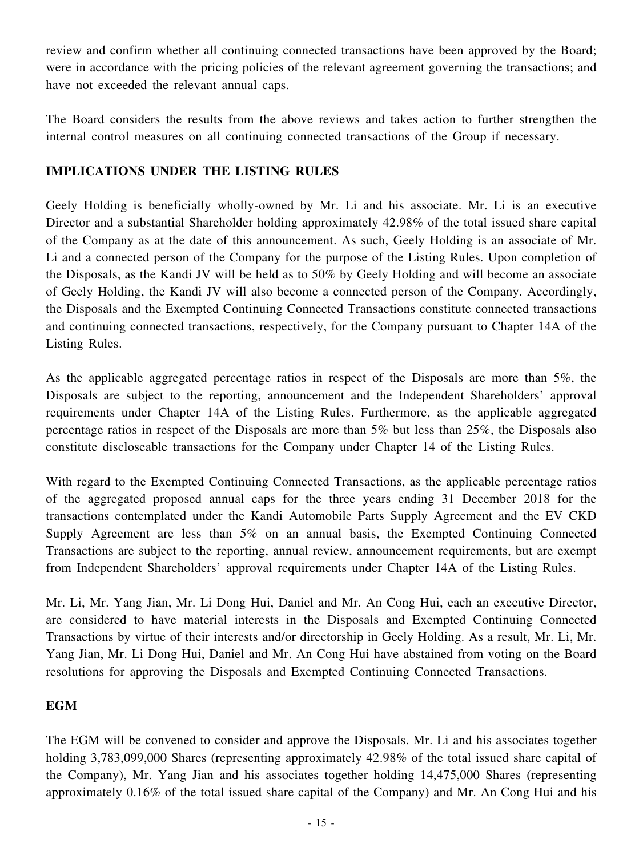review and confirm whether all continuing connected transactions have been approved by the Board; were in accordance with the pricing policies of the relevant agreement governing the transactions; and have not exceeded the relevant annual caps.

The Board considers the results from the above reviews and takes action to further strengthen the internal control measures on all continuing connected transactions of the Group if necessary.

### **IMPLICATIONS UNDER THE LISTING RULES**

Geely Holding is beneficially wholly-owned by Mr. Li and his associate. Mr. Li is an executive Director and a substantial Shareholder holding approximately 42.98% of the total issued share capital of the Company as at the date of this announcement. As such, Geely Holding is an associate of Mr. Li and a connected person of the Company for the purpose of the Listing Rules. Upon completion of the Disposals, as the Kandi JV will be held as to 50% by Geely Holding and will become an associate of Geely Holding, the Kandi JV will also become a connected person of the Company. Accordingly, the Disposals and the Exempted Continuing Connected Transactions constitute connected transactions and continuing connected transactions, respectively, for the Company pursuant to Chapter 14A of the Listing Rules.

As the applicable aggregated percentage ratios in respect of the Disposals are more than 5%, the Disposals are subject to the reporting, announcement and the Independent Shareholders' approval requirements under Chapter 14A of the Listing Rules. Furthermore, as the applicable aggregated percentage ratios in respect of the Disposals are more than 5% but less than 25%, the Disposals also constitute discloseable transactions for the Company under Chapter 14 of the Listing Rules.

With regard to the Exempted Continuing Connected Transactions, as the applicable percentage ratios of the aggregated proposed annual caps for the three years ending 31 December 2018 for the transactions contemplated under the Kandi Automobile Parts Supply Agreement and the EV CKD Supply Agreement are less than 5% on an annual basis, the Exempted Continuing Connected Transactions are subject to the reporting, annual review, announcement requirements, but are exempt from Independent Shareholders' approval requirements under Chapter 14A of the Listing Rules.

Mr. Li, Mr. Yang Jian, Mr. Li Dong Hui, Daniel and Mr. An Cong Hui, each an executive Director, are considered to have material interests in the Disposals and Exempted Continuing Connected Transactions by virtue of their interests and/or directorship in Geely Holding. As a result, Mr. Li, Mr. Yang Jian, Mr. Li Dong Hui, Daniel and Mr. An Cong Hui have abstained from voting on the Board resolutions for approving the Disposals and Exempted Continuing Connected Transactions.

#### **EGM**

The EGM will be convened to consider and approve the Disposals. Mr. Li and his associates together holding 3,783,099,000 Shares (representing approximately 42.98% of the total issued share capital of the Company), Mr. Yang Jian and his associates together holding 14,475,000 Shares (representing approximately 0.16% of the total issued share capital of the Company) and Mr. An Cong Hui and his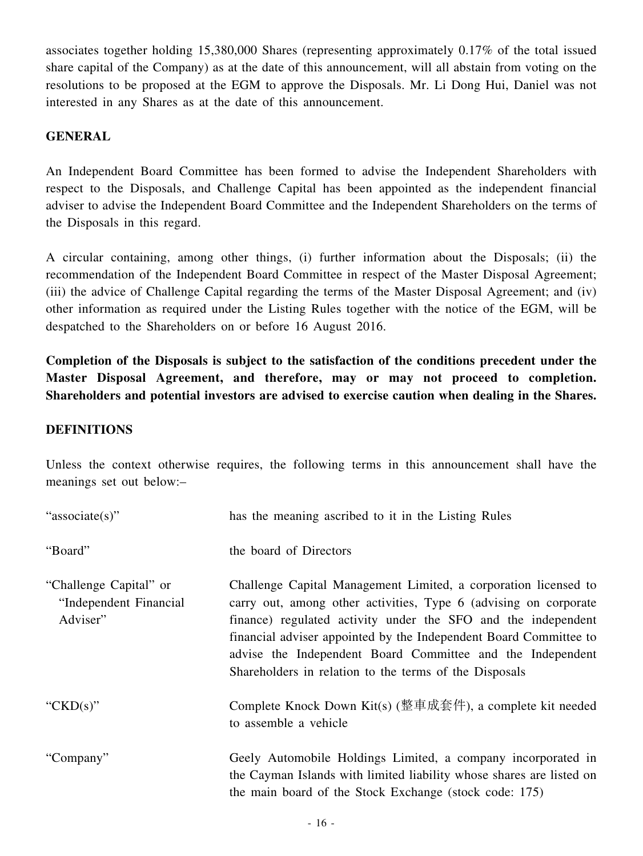associates together holding 15,380,000 Shares (representing approximately 0.17% of the total issued share capital of the Company) as at the date of this announcement, will all abstain from voting on the resolutions to be proposed at the EGM to approve the Disposals. Mr. Li Dong Hui, Daniel was not interested in any Shares as at the date of this announcement.

#### **GENERAL**

An Independent Board Committee has been formed to advise the Independent Shareholders with respect to the Disposals, and Challenge Capital has been appointed as the independent financial adviser to advise the Independent Board Committee and the Independent Shareholders on the terms of the Disposals in this regard.

A circular containing, among other things, (i) further information about the Disposals; (ii) the recommendation of the Independent Board Committee in respect of the Master Disposal Agreement; (iii) the advice of Challenge Capital regarding the terms of the Master Disposal Agreement; and (iv) other information as required under the Listing Rules together with the notice of the EGM, will be despatched to the Shareholders on or before 16 August 2016.

**Completion of the Disposals is subject to the satisfaction of the conditions precedent under the Master Disposal Agreement, and therefore, may or may not proceed to completion. Shareholders and potential investors are advised to exercise caution when dealing in the Shares.**

#### **DEFINITIONS**

Unless the context otherwise requires, the following terms in this announcement shall have the meanings set out below:–

| "associate(s)"                                               | has the meaning ascribed to it in the Listing Rules                                                                                                                                                                                                                                                                                                                                               |
|--------------------------------------------------------------|---------------------------------------------------------------------------------------------------------------------------------------------------------------------------------------------------------------------------------------------------------------------------------------------------------------------------------------------------------------------------------------------------|
| "Board"                                                      | the board of Directors                                                                                                                                                                                                                                                                                                                                                                            |
| "Challenge Capital" or<br>"Independent Financial<br>Adviser" | Challenge Capital Management Limited, a corporation licensed to<br>carry out, among other activities, Type 6 (advising on corporate<br>finance) regulated activity under the SFO and the independent<br>financial adviser appointed by the Independent Board Committee to<br>advise the Independent Board Committee and the Independent<br>Shareholders in relation to the terms of the Disposals |
| " $CKD(s)$ "                                                 | Complete Knock Down Kit(s) (整車成套件), a complete kit needed<br>to assemble a vehicle                                                                                                                                                                                                                                                                                                                |
| "Company"                                                    | Geely Automobile Holdings Limited, a company incorporated in<br>the Cayman Islands with limited liability whose shares are listed on<br>the main board of the Stock Exchange (stock code: 175)                                                                                                                                                                                                    |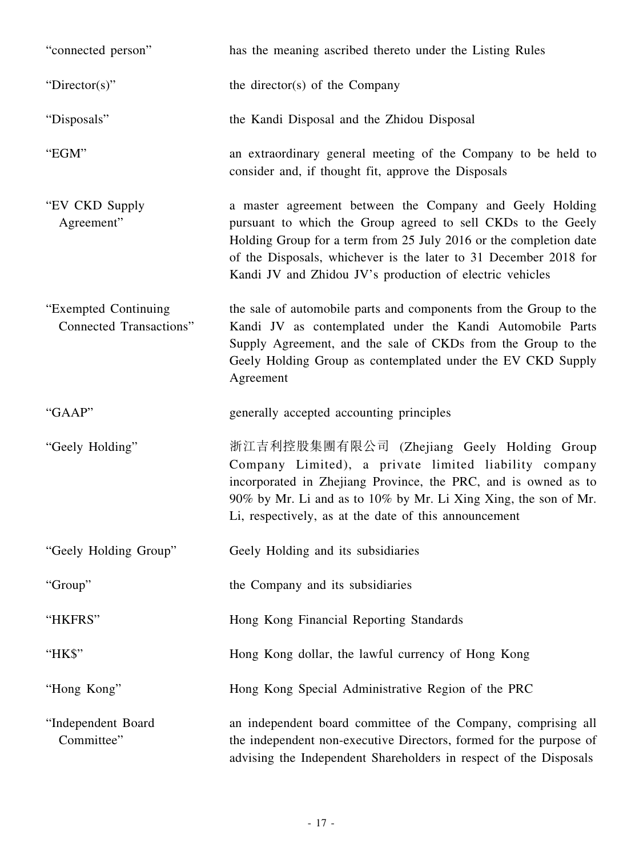| "connected person"                                     | has the meaning ascribed thereto under the Listing Rules                                                                                                                                                                                                                                                                      |
|--------------------------------------------------------|-------------------------------------------------------------------------------------------------------------------------------------------------------------------------------------------------------------------------------------------------------------------------------------------------------------------------------|
| "Director(s)"                                          | the director(s) of the Company                                                                                                                                                                                                                                                                                                |
| "Disposals"                                            | the Kandi Disposal and the Zhidou Disposal                                                                                                                                                                                                                                                                                    |
| "EGM"                                                  | an extraordinary general meeting of the Company to be held to<br>consider and, if thought fit, approve the Disposals                                                                                                                                                                                                          |
| "EV CKD Supply"<br>Agreement"                          | a master agreement between the Company and Geely Holding<br>pursuant to which the Group agreed to sell CKDs to the Geely<br>Holding Group for a term from 25 July 2016 or the completion date<br>of the Disposals, whichever is the later to 31 December 2018 for<br>Kandi JV and Zhidou JV's production of electric vehicles |
| "Exempted Continuing<br><b>Connected Transactions"</b> | the sale of automobile parts and components from the Group to the<br>Kandi JV as contemplated under the Kandi Automobile Parts<br>Supply Agreement, and the sale of CKDs from the Group to the<br>Geely Holding Group as contemplated under the EV CKD Supply<br>Agreement                                                    |
| "GAAP"                                                 | generally accepted accounting principles                                                                                                                                                                                                                                                                                      |
| "Geely Holding"                                        | 浙江吉利控股集團有限公司 (Zhejiang Geely Holding Group<br>Company Limited), a private limited liability company<br>incorporated in Zhejiang Province, the PRC, and is owned as to<br>90% by Mr. Li and as to 10% by Mr. Li Xing Xing, the son of Mr.<br>Li, respectively, as at the date of this announcement                             |
| "Geely Holding Group"                                  | Geely Holding and its subsidiaries                                                                                                                                                                                                                                                                                            |
| "Group"                                                | the Company and its subsidiaries                                                                                                                                                                                                                                                                                              |
| "HKFRS"                                                | Hong Kong Financial Reporting Standards                                                                                                                                                                                                                                                                                       |
| "HK\$"                                                 | Hong Kong dollar, the lawful currency of Hong Kong                                                                                                                                                                                                                                                                            |
| "Hong Kong"                                            | Hong Kong Special Administrative Region of the PRC                                                                                                                                                                                                                                                                            |
| "Independent Board<br>Committee"                       | an independent board committee of the Company, comprising all<br>the independent non-executive Directors, formed for the purpose of<br>advising the Independent Shareholders in respect of the Disposals                                                                                                                      |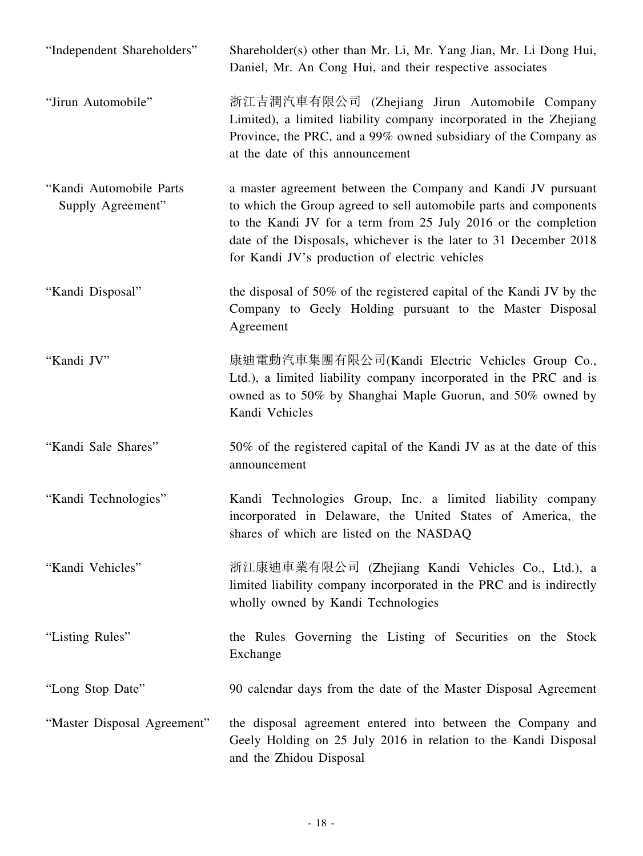| "Independent Shareholders"                   | Shareholder(s) other than Mr. Li, Mr. Yang Jian, Mr. Li Dong Hui,<br>Daniel, Mr. An Cong Hui, and their respective associates                                                                                                                                                                                              |
|----------------------------------------------|----------------------------------------------------------------------------------------------------------------------------------------------------------------------------------------------------------------------------------------------------------------------------------------------------------------------------|
| "Jirun Automobile"                           | 浙江吉潤汽車有限公司 (Zhejiang Jirun Automobile Company<br>Limited), a limited liability company incorporated in the Zhejiang<br>Province, the PRC, and a 99% owned subsidiary of the Company as<br>at the date of this announcement                                                                                                 |
| "Kandi Automobile Parts<br>Supply Agreement" | a master agreement between the Company and Kandi JV pursuant<br>to which the Group agreed to sell automobile parts and components<br>to the Kandi JV for a term from 25 July 2016 or the completion<br>date of the Disposals, whichever is the later to 31 December 2018<br>for Kandi JV's production of electric vehicles |
| "Kandi Disposal"                             | the disposal of 50% of the registered capital of the Kandi JV by the<br>Company to Geely Holding pursuant to the Master Disposal<br>Agreement                                                                                                                                                                              |
| "Kandi JV"                                   | 康迪電動汽車集團有限公司(Kandi Electric Vehicles Group Co.,<br>Ltd.), a limited liability company incorporated in the PRC and is<br>owned as to 50% by Shanghai Maple Guorun, and 50% owned by<br>Kandi Vehicles                                                                                                                       |
| "Kandi Sale Shares"                          | 50% of the registered capital of the Kandi JV as at the date of this<br>announcement                                                                                                                                                                                                                                       |
| "Kandi Technologies"                         | Kandi Technologies Group, Inc. a limited liability company<br>incorporated in Delaware, the United States of America, the<br>shares of which are listed on the NASDAQ                                                                                                                                                      |
| "Kandi Vehicles"                             | 浙江康迪車業有限公司 (Zhejiang Kandi Vehicles Co., Ltd.), a<br>limited liability company incorporated in the PRC and is indirectly<br>wholly owned by Kandi Technologies                                                                                                                                                             |
| "Listing Rules"                              | the Rules Governing the Listing of Securities on the Stock<br>Exchange                                                                                                                                                                                                                                                     |
| "Long Stop Date"                             | 90 calendar days from the date of the Master Disposal Agreement                                                                                                                                                                                                                                                            |
| "Master Disposal Agreement"                  | the disposal agreement entered into between the Company and<br>Geely Holding on 25 July 2016 in relation to the Kandi Disposal<br>and the Zhidou Disposal                                                                                                                                                                  |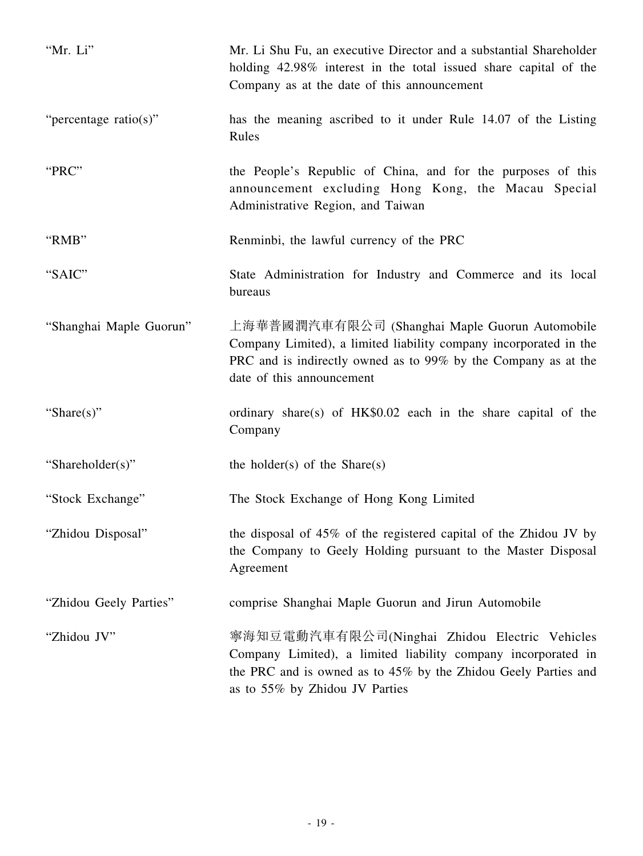| "Mr. Li"                | Mr. Li Shu Fu, an executive Director and a substantial Shareholder<br>holding 42.98% interest in the total issued share capital of the<br>Company as at the date of this announcement                              |
|-------------------------|--------------------------------------------------------------------------------------------------------------------------------------------------------------------------------------------------------------------|
| "percentage ratio(s)"   | has the meaning ascribed to it under Rule 14.07 of the Listing<br>Rules                                                                                                                                            |
| "PRC"                   | the People's Republic of China, and for the purposes of this<br>announcement excluding Hong Kong, the Macau Special<br>Administrative Region, and Taiwan                                                           |
| "RMB"                   | Renminbi, the lawful currency of the PRC                                                                                                                                                                           |
| "SAIC"                  | State Administration for Industry and Commerce and its local<br>bureaus                                                                                                                                            |
| "Shanghai Maple Guorun" | 上海華普國潤汽車有限公司 (Shanghai Maple Guorun Automobile<br>Company Limited), a limited liability company incorporated in the<br>PRC and is indirectly owned as to 99% by the Company as at the<br>date of this announcement |
| "Share $(s)$ "          | ordinary share(s) of HK\$0.02 each in the share capital of the<br>Company                                                                                                                                          |
| "Shareholder(s)"        | the holder(s) of the Share(s)                                                                                                                                                                                      |
| "Stock Exchange"        | The Stock Exchange of Hong Kong Limited                                                                                                                                                                            |
| "Zhidou Disposal"       | the disposal of 45% of the registered capital of the Zhidou JV by<br>the Company to Geely Holding pursuant to the Master Disposal<br>Agreement                                                                     |
| "Zhidou Geely Parties"  | comprise Shanghai Maple Guorun and Jirun Automobile                                                                                                                                                                |
| "Zhidou JV"             | 寧海知豆電動汽車有限公司(Ninghai Zhidou Electric Vehicles<br>Company Limited), a limited liability company incorporated in<br>the PRC and is owned as to 45% by the Zhidou Geely Parties and<br>as to 55% by Zhidou JV Parties |